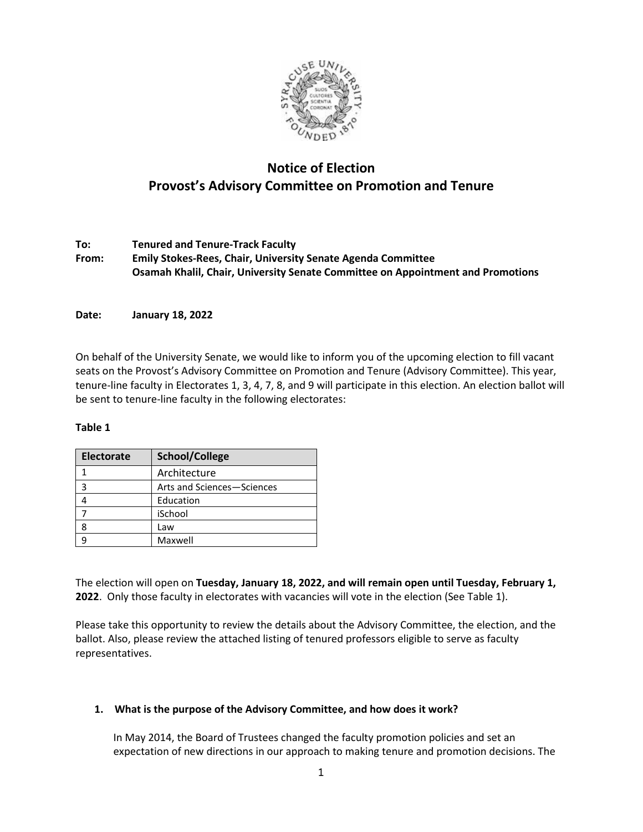

# **Notice of Election Provost's Advisory Committee on Promotion and Tenure**

**To: Tenured and Tenure-Track Faculty From: Emily Stokes-Rees, Chair, University Senate Agenda Committee Osamah Khalil, Chair, University Senate Committee on Appointment and Promotions**

**Date: January 18, 2022**

On behalf of the University Senate, we would like to inform you of the upcoming election to fill vacant seats on the Provost's Advisory Committee on Promotion and Tenure (Advisory Committee). This year, tenure-line faculty in Electorates 1, 3, 4, 7, 8, and 9 will participate in this election. An election ballot will be sent to tenure-line faculty in the following electorates:

#### **Table 1**

| <b>Electorate</b> | <b>School/College</b>      |
|-------------------|----------------------------|
|                   | Architecture               |
| з                 | Arts and Sciences-Sciences |
|                   | Education                  |
|                   | iSchool                    |
|                   | Law                        |
|                   | Maxwell                    |

The election will open on **Tuesday, January 18, 2022, and will remain open until Tuesday, February 1, 2022**. Only those faculty in electorates with vacancies will vote in the election (See Table 1).

Please take this opportunity to review the details about the Advisory Committee, the election, and the ballot. Also, please review the attached listing of tenured professors eligible to serve as faculty representatives.

# **1. What is the purpose of the Advisory Committee, and how does it work?**

In May 2014, the Board of Trustees changed the faculty promotion policies and set an expectation of new directions in our approach to making tenure and promotion decisions. The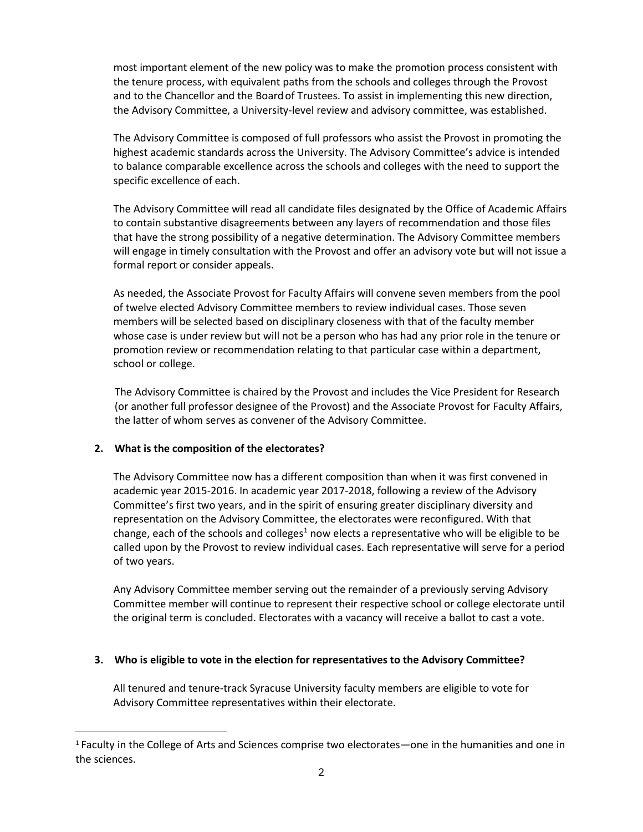most important element of the new policy was to make the promotion process consistent with the tenure process, with equivalent paths from the schools and colleges through the Provost and to the Chancellor and the Boardof Trustees. To assist in implementing this new direction, the Advisory Committee, a University-level review and advisory committee, was established.

The Advisory Committee is composed of full professors who assist the Provost in promoting the highest academic standards across the University. The Advisory Committee's advice is intended to balance comparable excellence across the schools and colleges with the need to support the specific excellence of each.

The Advisory Committee will read all candidate files designated by the Office of Academic Affairs to contain substantive disagreements between any layers of recommendation and those files that have the strong possibility of a negative determination. The Advisory Committee members will engage in timely consultation with the Provost and offer an advisory vote but will not issue a formal report or consider appeals.

As needed, the Associate Provost for Faculty Affairs will convene seven members from the pool of twelve elected Advisory Committee members to review individual cases. Those seven members will be selected based on disciplinary closeness with that of the faculty member whose case is under review but will not be a person who has had any prior role in the tenure or promotion review or recommendation relating to that particular case within a department, school or college.

The Advisory Committee is chaired by the Provost and includes the Vice President for Research (or another full professor designee of the Provost) and the Associate Provost for Faculty Affairs, the latter of whom serves as convener of the Advisory Committee.

# **2. What is the composition of the electorates?**

The Advisory Committee now has a different composition than when it was first convened in academic year 2015-2016. In academic year 2017-2018, following a review of the Advisory Committee's first two years, and in the spirit of ensuring greater disciplinary diversity and representation on the Advisory Committee, the electorates were reconfigured. With that change, each of the schools and colleges<sup>1</sup> now elects a representative who will be eligible to be called upon by the Provost to review individual cases. Each representative will serve for a period of two years.

Any Advisory Committee member serving out the remainder of a previously serving Advisory Committee member will continue to represent their respective school or college electorate until the original term is concluded. Electorates with a vacancy will receive a ballot to cast a vote.

# **3. Who is eligible to vote in the election for representatives to the Advisory Committee?**

All tenured and tenure-track Syracuse University faculty members are eligible to vote for Advisory Committee representatives within their electorate.

<span id="page-1-0"></span><sup>1</sup> Faculty in the College of Arts and Sciences comprise two electorates—one in the humanities and one in the sciences.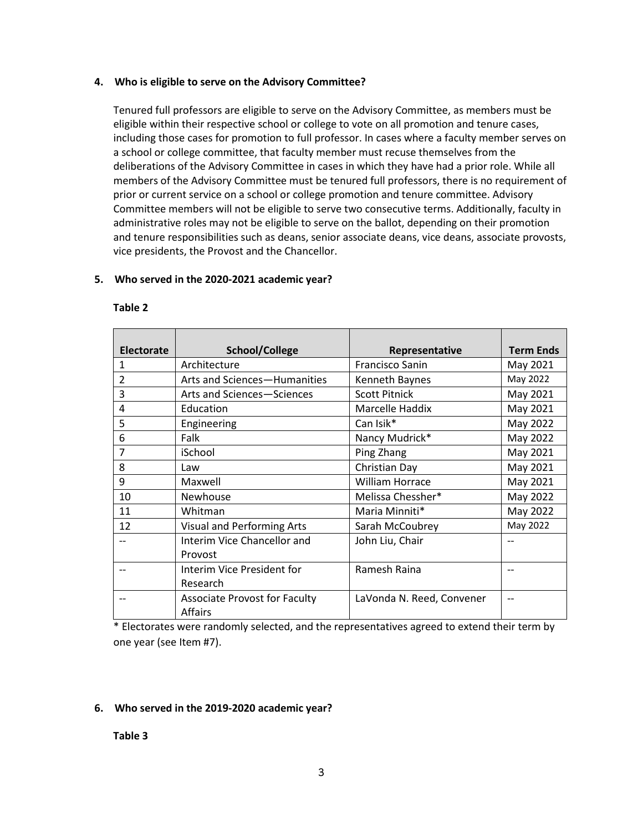#### **4. Who is eligible to serve on the Advisory Committee?**

Tenured full professors are eligible to serve on the Advisory Committee, as members must be eligible within their respective school or college to vote on all promotion and tenure cases, including those cases for promotion to full professor. In cases where a faculty member serves on a school or college committee, that faculty member must recuse themselves from the deliberations of the Advisory Committee in cases in which they have had a prior role. While all members of the Advisory Committee must be tenured full professors, there is no requirement of prior or current service on a school or college promotion and tenure committee. Advisory Committee members will not be eligible to serve two consecutive terms. Additionally, faculty in administrative roles may not be eligible to serve on the ballot, depending on their promotion and tenure responsibilities such as deans, senior associate deans, vice deans, associate provosts, vice presidents, the Provost and the Chancellor.

# **5. Who served in the 2020-2021 academic year?**

| <b>Electorate</b> | School/College                                         | Representative            | <b>Term Ends</b> |
|-------------------|--------------------------------------------------------|---------------------------|------------------|
| $\mathbf{1}$      | Architecture                                           | Francisco Sanin           | May 2021         |
| $\overline{2}$    | Arts and Sciences-Humanities                           | Kenneth Baynes            | May 2022         |
| 3                 | Arts and Sciences-Sciences                             | <b>Scott Pitnick</b>      | May 2021         |
| 4                 | Education                                              | Marcelle Haddix           | May 2021         |
| 5                 | Engineering                                            | Can Isik*                 | May 2022         |
| 6                 | Falk                                                   | Nancy Mudrick*            | May 2022         |
| 7                 | iSchool                                                | Ping Zhang                | May 2021         |
| 8                 | Law                                                    | Christian Day             | May 2021         |
| 9                 | Maxwell                                                | <b>William Horrace</b>    | May 2021         |
| 10                | Newhouse                                               | Melissa Chessher*         | May 2022         |
| 11                | Whitman                                                | Maria Minniti*            | May 2022         |
| 12                | <b>Visual and Performing Arts</b>                      | Sarah McCoubrey           | May 2022         |
|                   | Interim Vice Chancellor and                            | John Liu, Chair           | --               |
|                   | Provost                                                |                           |                  |
|                   | Interim Vice President for                             | Ramesh Raina              |                  |
|                   | Research                                               |                           |                  |
|                   | <b>Associate Provost for Faculty</b><br><b>Affairs</b> | LaVonda N. Reed, Convener |                  |

#### **Table 2**

\* Electorates were randomly selected, and the representatives agreed to extend their term by one year (see Item #7).

# **6. Who served in the 2019-2020 academic year?**

#### **Table 3**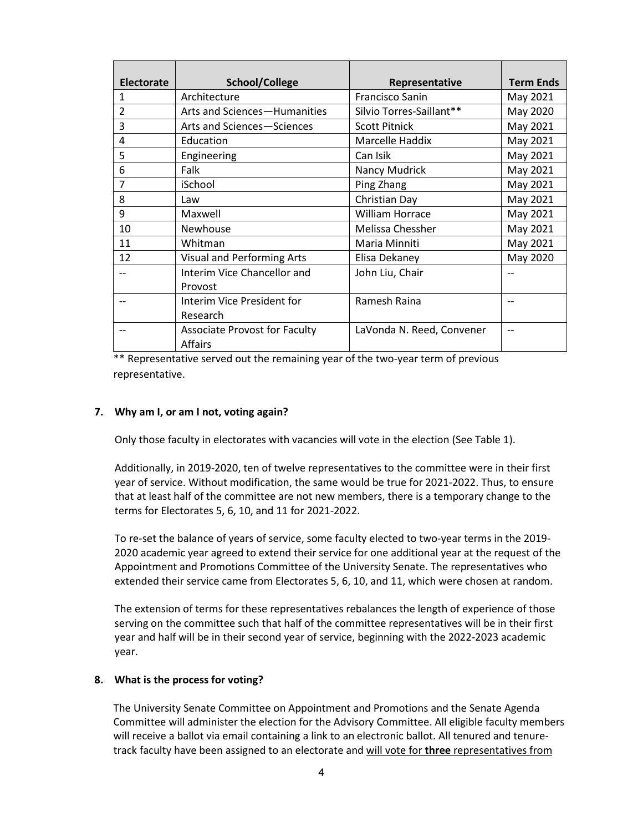| <b>Electorate</b> | School/College                       | Representative            | <b>Term Ends</b> |
|-------------------|--------------------------------------|---------------------------|------------------|
| 1                 | Architecture                         | Francisco Sanin           | May 2021         |
| $\overline{2}$    | Arts and Sciences-Humanities         | Silvio Torres-Saillant**  | May 2020         |
| 3                 | Arts and Sciences-Sciences           | <b>Scott Pitnick</b>      | May 2021         |
| 4                 | Education                            | Marcelle Haddix           | May 2021         |
| 5                 | Engineering                          | Can Isik                  | May 2021         |
| 6                 | Falk                                 | Nancy Mudrick             | May 2021         |
| 7                 | iSchool                              | Ping Zhang                | May 2021         |
| 8                 | Law                                  | Christian Day             | May 2021         |
| 9                 | Maxwell                              | <b>William Horrace</b>    | May 2021         |
| 10                | <b>Newhouse</b>                      | Melissa Chessher          | May 2021         |
| 11                | Whitman                              | Maria Minniti             | May 2021         |
| 12                | <b>Visual and Performing Arts</b>    | Elisa Dekaney             | May 2020         |
|                   | Interim Vice Chancellor and          | John Liu, Chair           |                  |
|                   | Provost                              |                           |                  |
|                   | Interim Vice President for           | Ramesh Raina              | $-$              |
|                   | Research                             |                           |                  |
|                   | <b>Associate Provost for Faculty</b> | LaVonda N. Reed, Convener | --               |
|                   | <b>Affairs</b>                       |                           |                  |

\*\* Representative served out the remaining year of the two-year term of previous representative.

#### **7. Why am I, or am I not, voting again?**

Only those faculty in electorates with vacancies will vote in the election (See Table 1).

Additionally, in 2019-2020, ten of twelve representatives to the committee were in their first year of service. Without modification, the same would be true for 2021-2022. Thus, to ensure that at least half of the committee are not new members, there is a temporary change to the terms for Electorates 5, 6, 10, and 11 for 2021-2022.

To re-set the balance of years of service, some faculty elected to two-year terms in the 2019- 2020 academic year agreed to extend their service for one additional year at the request of the Appointment and Promotions Committee of the University Senate. The representatives who extended their service came from Electorates 5, 6, 10, and 11, which were chosen at random.

The extension of terms for these representatives rebalances the length of experience of those serving on the committee such that half of the committee representatives will be in their first year and half will be in their second year of service, beginning with the 2022-2023 academic year.

#### **8. What is the process for voting?**

The University Senate Committee on Appointment and Promotions and the Senate Agenda Committee will administer the election for the Advisory Committee. All eligible faculty members will receive a ballot via email containing a link to an electronic ballot. All tenured and tenuretrack faculty have been assigned to an electorate and will vote for **three** representatives from